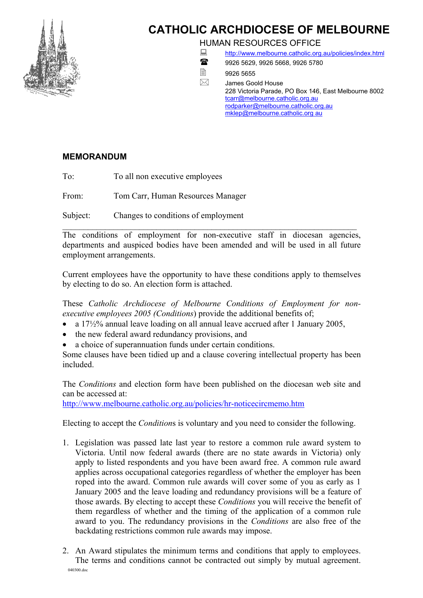

## **CATHOLIC ARCHDIOCESE OF MELBOURNE**

HUMAN RESOURCES OFFICE

- <http://www.melbourne.catholic.org.au/policies/index.html>
- 18 9926 5629, 9926 5668, 9926 5780
- ■9926 5655

 $\boxtimes$  James Goold House 228 Victoria Parade, PO Box 146, East Melbourne 8002 [tcarr@melbourne.catholic.org.au](mailto:tcarr@melbourne.catholic.org.au) [rodparker@melbourne.catholic.org.au](mailto:rodparker@melbourne.catholic.org.au) [mklep@melbourne.catholic.org au](mailto:mklep@melbourne.catholic.com.au)

## **MEMORANDUM**

To: To all non executive employees

From: Tom Carr, Human Resources Manager

Subject: Changes to conditions of employment

 $\mathcal{L}_\mathcal{L} = \mathcal{L}_\mathcal{L} = \mathcal{L}_\mathcal{L} = \mathcal{L}_\mathcal{L} = \mathcal{L}_\mathcal{L} = \mathcal{L}_\mathcal{L} = \mathcal{L}_\mathcal{L} = \mathcal{L}_\mathcal{L} = \mathcal{L}_\mathcal{L} = \mathcal{L}_\mathcal{L} = \mathcal{L}_\mathcal{L} = \mathcal{L}_\mathcal{L} = \mathcal{L}_\mathcal{L} = \mathcal{L}_\mathcal{L} = \mathcal{L}_\mathcal{L} = \mathcal{L}_\mathcal{L} = \mathcal{L}_\mathcal{L}$ The conditions of employment for non-executive staff in diocesan agencies, departments and auspiced bodies have been amended and will be used in all future employment arrangements.

Current employees have the opportunity to have these conditions apply to themselves by electing to do so. An election form is attached.

These *Catholic Archdiocese of Melbourne Conditions of Employment for nonexecutive employees 2005 (Conditions*) provide the additional benefits of;

- a  $17\frac{1}{2}\%$  annual leave loading on all annual leave accrued after 1 January 2005,
- the new federal award redundancy provisions, and
- a choice of superannuation funds under certain conditions.

Some clauses have been tidied up and a clause covering intellectual property has been included.

The *Conditions* and election form have been published on the diocesan web site and can be accessed at:

<http://www.melbourne.catholic.org.au/policies/hr-noticecircmemo.htm>

Electing to accept the *Condition*s is voluntary and you need to consider the following.

- 1. Legislation was passed late last year to restore a common rule award system to Victoria. Until now federal awards (there are no state awards in Victoria) only apply to listed respondents and you have been award free. A common rule award applies across occupational categories regardless of whether the employer has been roped into the award. Common rule awards will cover some of you as early as 1 January 2005 and the leave loading and redundancy provisions will be a feature of those awards. By electing to accept these *Conditions* you will receive the benefit of them regardless of whether and the timing of the application of a common rule award to you. The redundancy provisions in the *Conditions* are also free of the backdating restrictions common rule awards may impose.
- 040300.doc 2. An Award stipulates the minimum terms and conditions that apply to employees. The terms and conditions cannot be contracted out simply by mutual agreement.